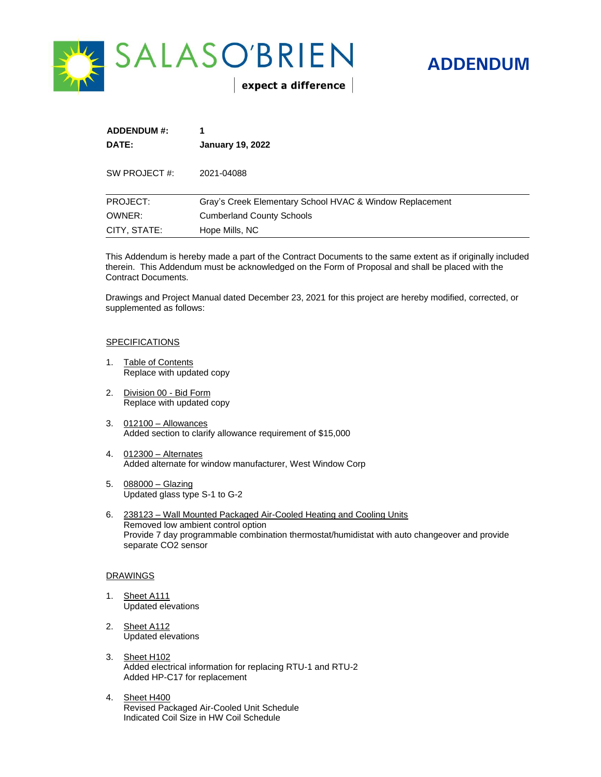

# **ADDENDUM**

| <b>ADDENDUM #:</b><br>1<br>DATE:<br><b>January 19, 2022</b> |                                                          |
|-------------------------------------------------------------|----------------------------------------------------------|
| SW PROJECT #:                                               | 2021-04088                                               |
| PROJECT:                                                    | Gray's Creek Elementary School HVAC & Window Replacement |
| OWNER:                                                      | <b>Cumberland County Schools</b>                         |
| CITY, STATE:                                                | Hope Mills, NC                                           |

This Addendum is hereby made a part of the Contract Documents to the same extent as if originally included therein. This Addendum must be acknowledged on the Form of Proposal and shall be placed with the Contract Documents.

Drawings and Project Manual dated December 23, 2021 for this project are hereby modified, corrected, or supplemented as follows:

#### SPECIFICATIONS

- 1. Table of Contents Replace with updated copy
- 2. Division 00 Bid Form Replace with updated copy
- 3. 012100 Allowances Added section to clarify allowance requirement of \$15,000
- 4. 012300 Alternates Added alternate for window manufacturer, West Window Corp
- 5. 088000 Glazing Updated glass type S-1 to G-2
- 6. 238123 Wall Mounted Packaged Air-Cooled Heating and Cooling Units Removed low ambient control option Provide 7 day programmable combination thermostat/humidistat with auto changeover and provide separate CO<sub>2</sub> sensor

#### DRAWINGS

- 1. Sheet A111 Updated elevations
- 2. Sheet A112 Updated elevations
- 3. Sheet H102 Added electrical information for replacing RTU-1 and RTU-2 Added HP-C17 for replacement
- 4. Sheet H400 Revised Packaged Air-Cooled Unit Schedule Indicated Coil Size in HW Coil Schedule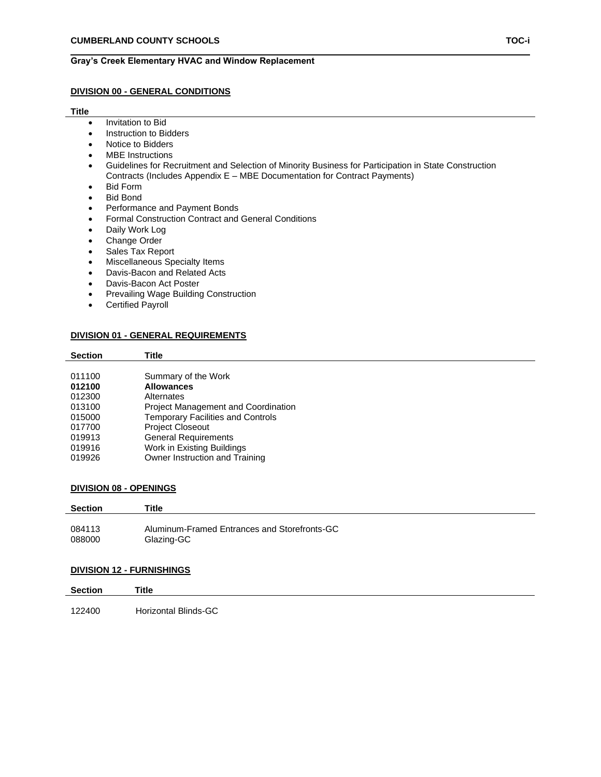# **Gray's Creek Elementary HVAC and Window Replacement**

#### **DIVISION 00 - GENERAL CONDITIONS**

#### **Title**

- Invitation to Bid
- Instruction to Bidders
- Notice to Bidders
- MBE Instructions
- Guidelines for Recruitment and Selection of Minority Business for Participation in State Construction Contracts (Includes Appendix E – MBE Documentation for Contract Payments)
- Bid Form
- Bid Bond
- Performance and Payment Bonds
- Formal Construction Contract and General Conditions
- Daily Work Log
- Change Order
- Sales Tax Report
- Miscellaneous Specialty Items
- Davis-Bacon and Related Acts
- Davis-Bacon Act Poster
- Prevailing Wage Building Construction
- Certified Payroll

#### **DIVISION 01 - GENERAL REQUIREMENTS**

| <b>Section</b> | Title                                      |
|----------------|--------------------------------------------|
|                |                                            |
| 011100         | Summary of the Work                        |
| 012100         | <b>Allowances</b>                          |
| 012300         | Alternates                                 |
| 013100         | <b>Project Management and Coordination</b> |
| 015000         | <b>Temporary Facilities and Controls</b>   |
| 017700         | <b>Project Closeout</b>                    |
| 019913         | <b>General Requirements</b>                |
| 019916         | Work in Existing Buildings                 |
| 019926         | Owner Instruction and Training             |
|                |                                            |

#### **DIVISION 08 - OPENINGS**

| <b>Section</b> | Title                                        |
|----------------|----------------------------------------------|
| 084113         | Aluminum-Framed Entrances and Storefronts-GC |
| 088000         | Glazing-GC                                   |
|                |                                              |

#### **DIVISION 12 - FURNISHINGS**

| Title |
|-------|
|       |

122400 Horizontal Blinds-GC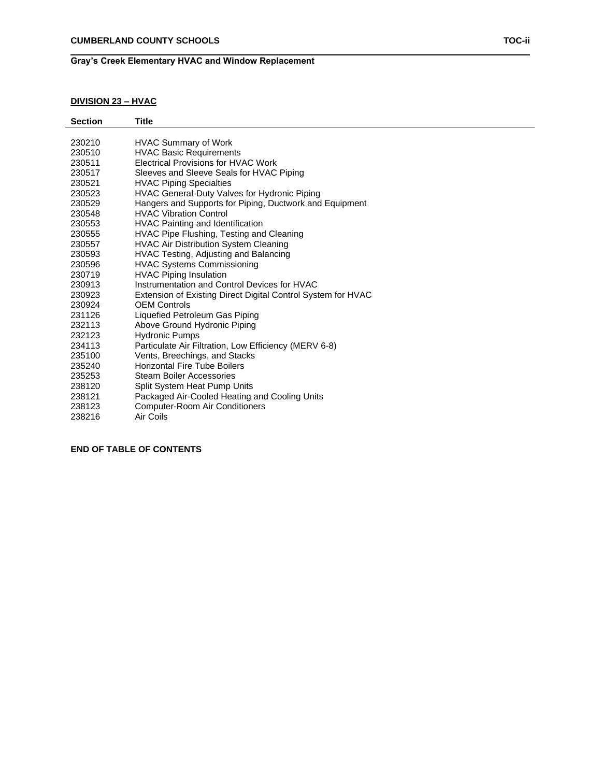# **Gray's Creek Elementary HVAC and Window Replacement**

# **DIVISION 23 – HVAC**

| <b>Section</b> | Title                                                        |
|----------------|--------------------------------------------------------------|
|                |                                                              |
| 230210         | <b>HVAC Summary of Work</b>                                  |
| 230510         | <b>HVAC Basic Requirements</b>                               |
| 230511         | <b>Electrical Provisions for HVAC Work</b>                   |
| 230517         | Sleeves and Sleeve Seals for HVAC Piping                     |
| 230521         | <b>HVAC Piping Specialties</b>                               |
| 230523         | HVAC General-Duty Valves for Hydronic Piping                 |
| 230529         | Hangers and Supports for Piping, Ductwork and Equipment      |
| 230548         | <b>HVAC Vibration Control</b>                                |
| 230553         | HVAC Painting and Identification                             |
| 230555         | HVAC Pipe Flushing, Testing and Cleaning                     |
| 230557         | <b>HVAC Air Distribution System Cleaning</b>                 |
| 230593         | HVAC Testing, Adjusting and Balancing                        |
| 230596         | <b>HVAC Systems Commissioning</b>                            |
| 230719         | <b>HVAC Piping Insulation</b>                                |
| 230913         | Instrumentation and Control Devices for HVAC                 |
| 230923         | Extension of Existing Direct Digital Control System for HVAC |
| 230924         | <b>OEM Controls</b>                                          |
| 231126         | Liquefied Petroleum Gas Piping                               |
| 232113         | Above Ground Hydronic Piping                                 |
| 232123         | <b>Hydronic Pumps</b>                                        |
| 234113         | Particulate Air Filtration, Low Efficiency (MERV 6-8)        |
| 235100         | Vents, Breechings, and Stacks                                |
| 235240         | <b>Horizontal Fire Tube Boilers</b>                          |
| 235253         | <b>Steam Boiler Accessories</b>                              |
| 238120         | Split System Heat Pump Units                                 |
| 238121         | Packaged Air-Cooled Heating and Cooling Units                |
| 238123         | Computer-Room Air Conditioners                               |
|                |                                                              |

Air Coils

**END OF TABLE OF CONTENTS**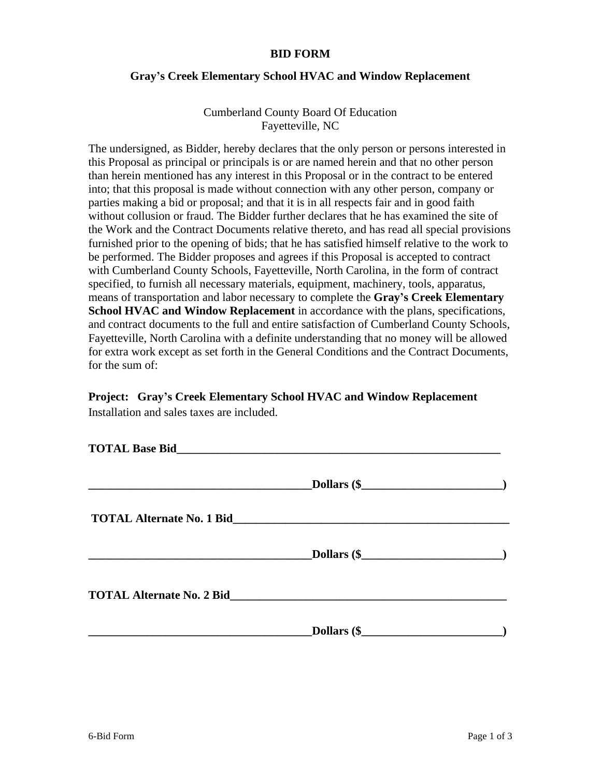# **BID FORM**

# **Gray's Creek Elementary School HVAC and Window Replacement**

Cumberland County Board Of Education Fayetteville, NC

The undersigned, as Bidder, hereby declares that the only person or persons interested in this Proposal as principal or principals is or are named herein and that no other person than herein mentioned has any interest in this Proposal or in the contract to be entered into; that this proposal is made without connection with any other person, company or parties making a bid or proposal; and that it is in all respects fair and in good faith without collusion or fraud. The Bidder further declares that he has examined the site of the Work and the Contract Documents relative thereto, and has read all special provisions furnished prior to the opening of bids; that he has satisfied himself relative to the work to be performed. The Bidder proposes and agrees if this Proposal is accepted to contract with Cumberland County Schools, Fayetteville, North Carolina, in the form of contract specified, to furnish all necessary materials, equipment, machinery, tools, apparatus, means of transportation and labor necessary to complete the **Gray's Creek Elementary School HVAC and Window Replacement** in accordance with the plans, specifications, and contract documents to the full and entire satisfaction of Cumberland County Schools, Fayetteville, North Carolina with a definite understanding that no money will be allowed for extra work except as set forth in the General Conditions and the Contract Documents, for the sum of:

# **Project: Gray's Creek Elementary School HVAC and Window Replacement**

Installation and sales taxes are included.

|                                                                                                                                                                                                                                     | Dollars (\$        |  |
|-------------------------------------------------------------------------------------------------------------------------------------------------------------------------------------------------------------------------------------|--------------------|--|
| <b>TOTAL Alternate No. 1 Bid Second Second Second Second Second Second Second Second Second Second Second Second Second Second Second Second Second Second Second Second Second Second Second Second Second Second Second Seco</b>  |                    |  |
|                                                                                                                                                                                                                                     | <b>Dollars (\$</b> |  |
| <b>TOTAL Alternate No. 2 Bid</b> Manual Alternative Contract of the Second Second Second Second Second Second Second Second Second Second Second Second Second Second Second Second Second Second Second Second Second Second Secon |                    |  |
|                                                                                                                                                                                                                                     |                    |  |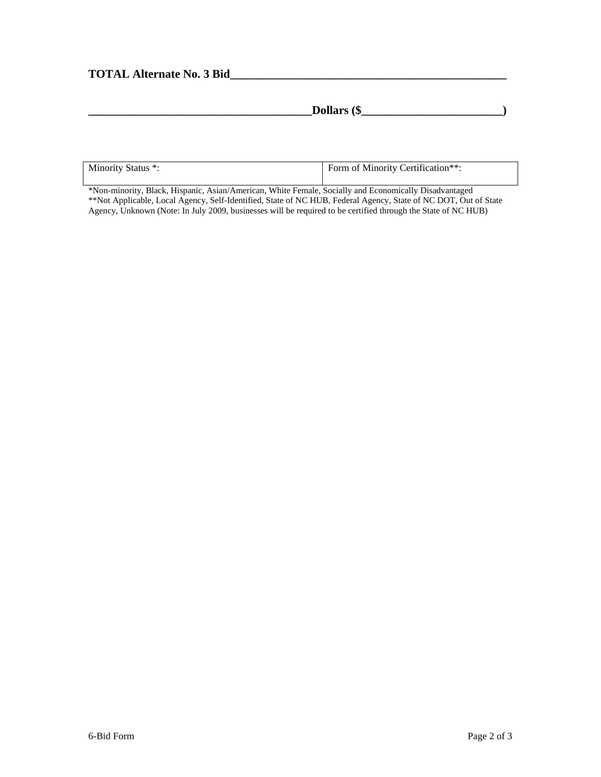# **TOTAL Alternate No. 3 Bid\_\_\_\_\_\_\_\_\_\_\_\_\_\_\_\_\_\_\_\_\_\_\_\_\_\_\_\_\_\_\_\_\_\_\_\_\_\_\_\_\_\_\_\_\_\_\_**

| $- -$<br>$_{\alpha}$ mass $\alpha$<br>$\mathbf{\mathcal{L}}$<br>--<br><b>DOIIAL'S</b><br>۱D |  |
|---------------------------------------------------------------------------------------------|--|
|                                                                                             |  |

| Minority Status *: | Form of Minority Certification**: |
|--------------------|-----------------------------------|
|                    |                                   |

\*Non-minority, Black, Hispanic, Asian/American, White Female, Socially and Economically Disadvantaged \*\*Not Applicable, Local Agency, Self-Identified, State of NC HUB, Federal Agency, State of NC DOT, Out of State Agency, Unknown (Note: In July 2009, businesses will be required to be certified through the State of NC HUB)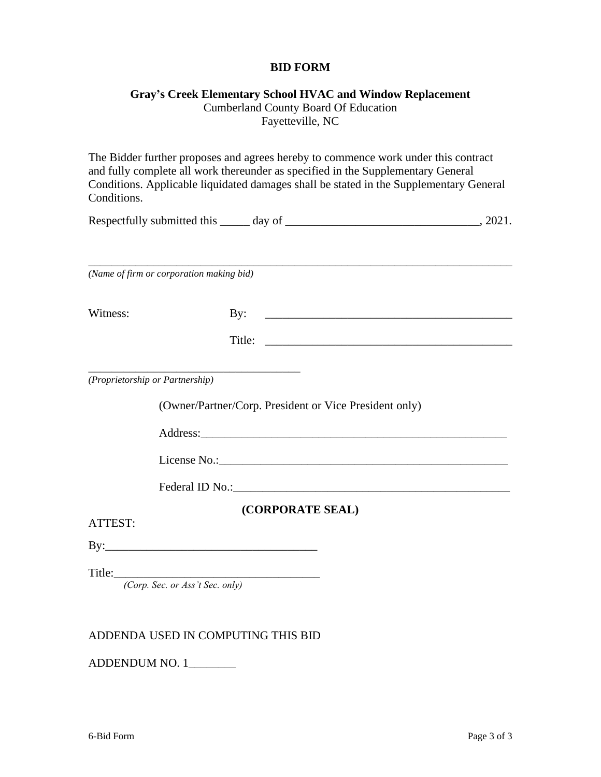# **BID FORM**

# **Gray's Creek Elementary School HVAC and Window Replacement**

Cumberland County Board Of Education Fayetteville, NC

The Bidder further proposes and agrees hereby to commence work under this contract and fully complete all work thereunder as specified in the Supplementary General Conditions. Applicable liquidated damages shall be stated in the Supplementary General Conditions.

| Respectfully submitted this _ | day of |  |
|-------------------------------|--------|--|
|                               |        |  |

\_\_\_\_\_\_\_\_\_\_\_\_\_\_\_\_\_\_\_\_\_\_\_\_\_\_\_\_\_\_\_\_\_\_\_\_\_\_\_\_\_\_\_\_\_\_\_\_\_\_\_\_\_\_\_\_\_\_\_\_\_\_\_\_\_\_\_\_\_\_\_\_ *(Name of firm or corporation making bid)*

Witness: By: \_\_\_\_\_\_\_\_\_\_\_\_\_\_\_\_\_\_\_\_\_\_\_\_\_\_\_\_\_\_\_\_\_\_\_\_\_\_\_\_\_\_

Title: \_\_\_\_\_\_\_\_\_\_\_\_\_\_\_\_\_\_\_\_\_\_\_\_\_\_\_\_\_\_\_\_\_\_\_\_\_\_\_\_\_\_

*(Proprietorship or Partnership)*

(Owner/Partner/Corp. President or Vice President only)

Address:

\_\_\_\_\_\_\_\_\_\_\_\_\_\_\_\_\_\_\_\_\_\_\_\_\_\_\_\_\_\_\_\_\_\_\_\_

License No.:

Federal ID No.:

**(CORPORATE SEAL)**

ATTEST:

By:\_\_\_\_\_\_\_\_\_\_\_\_\_\_\_\_\_\_\_\_\_\_\_\_\_\_\_\_\_\_\_\_\_\_\_\_

Title:\_\_\_\_\_\_\_\_\_\_\_\_\_\_\_\_\_\_\_\_\_\_\_\_\_\_\_\_\_\_\_\_\_\_\_

*(Corp. Sec. or Ass't Sec. only)*

# ADDENDA USED IN COMPUTING THIS BID

ADDENDUM NO. 1\_\_\_\_\_\_\_\_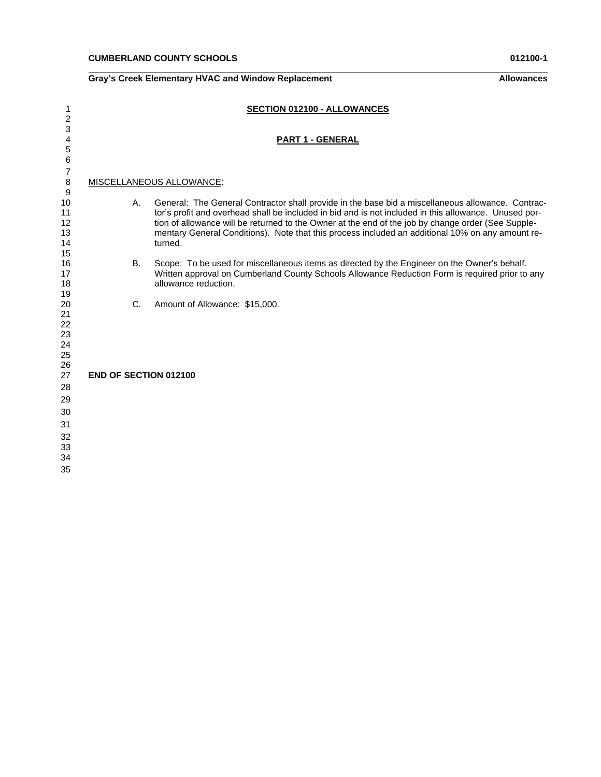| 1                                      |                              | SECTION 012100 - ALLOWANCES                                                                                                                                                                                                                                                                                                                                                                                                     |
|----------------------------------------|------------------------------|---------------------------------------------------------------------------------------------------------------------------------------------------------------------------------------------------------------------------------------------------------------------------------------------------------------------------------------------------------------------------------------------------------------------------------|
| 2<br>3<br>4<br>5<br>6                  |                              | <b>PART 1 - GENERAL</b>                                                                                                                                                                                                                                                                                                                                                                                                         |
| $\overline{7}$<br>$\bf8$<br>9          |                              | MISCELLANEOUS ALLOWANCE:                                                                                                                                                                                                                                                                                                                                                                                                        |
| 10<br>11<br>12<br>13<br>14<br>15       | А.                           | General: The General Contractor shall provide in the base bid a miscellaneous allowance. Contrac-<br>tor's profit and overhead shall be included in bid and is not included in this allowance. Unused por-<br>tion of allowance will be returned to the Owner at the end of the job by change order (See Supple-<br>mentary General Conditions). Note that this process included an additional 10% on any amount re-<br>turned. |
| 16<br>17<br>18<br>19                   | <b>B.</b>                    | Scope: To be used for miscellaneous items as directed by the Engineer on the Owner's behalf.<br>Written approval on Cumberland County Schools Allowance Reduction Form is required prior to any<br>allowance reduction.                                                                                                                                                                                                         |
| 20<br>21<br>22<br>23<br>24<br>25<br>26 | $C_{\cdot}$                  | Amount of Allowance: \$15,000.                                                                                                                                                                                                                                                                                                                                                                                                  |
| 27                                     | <b>END OF SECTION 012100</b> |                                                                                                                                                                                                                                                                                                                                                                                                                                 |
| 28                                     |                              |                                                                                                                                                                                                                                                                                                                                                                                                                                 |
| 29<br>30                               |                              |                                                                                                                                                                                                                                                                                                                                                                                                                                 |
| 31                                     |                              |                                                                                                                                                                                                                                                                                                                                                                                                                                 |
| 32<br>33<br>34                         |                              |                                                                                                                                                                                                                                                                                                                                                                                                                                 |
| 35                                     |                              |                                                                                                                                                                                                                                                                                                                                                                                                                                 |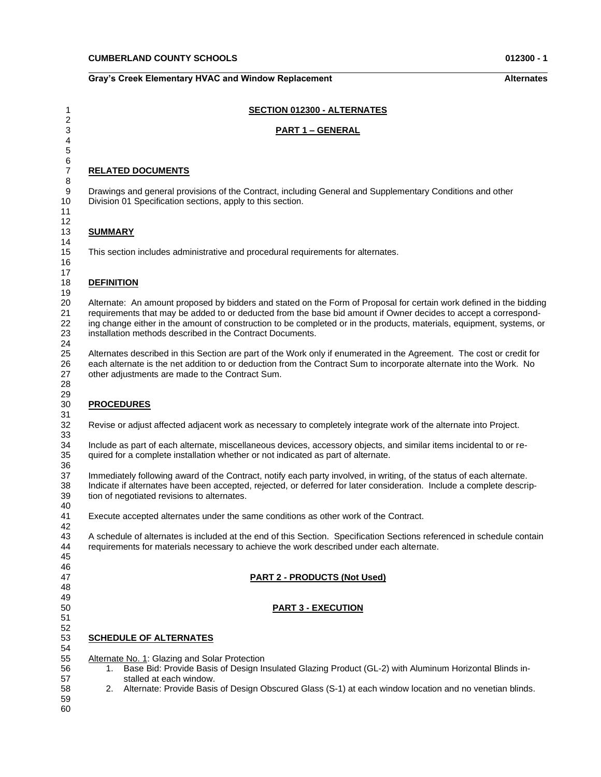#### **Gray's Creek Elementary HVAC and Window Replacement <b>Alternates** Alternates

**SECTION 012300 - ALTERNATES**

#### **PART 1 – GENERAL RELATED DOCUMENTS** Drawings and general provisions of the Contract, including General and Supplementary Conditions and other Division 01 Specification sections, apply to this section. **SUMMARY** This section includes administrative and procedural requirements for alternates. **DEFINITION** Alternate: An amount proposed by bidders and stated on the Form of Proposal for certain work defined in the bidding requirements that may be added to or deducted from the base bid amount if Owner decides to accept a correspond- ing change either in the amount of construction to be completed or in the products, materials, equipment, systems, or installation methods described in the Contract Documents. Alternates described in this Section are part of the Work only if enumerated in the Agreement. The cost or credit for each alternate is the net addition to or deduction from the Contract Sum to incorporate alternate into the Work. No other adjustments are made to the Contract Sum. 29<br>30 Revise or adjust affected adjacent work as necessary to completely integrate work of the alternate into Project. Include as part of each alternate, miscellaneous devices, accessory objects, and similar items incidental to or re- quired for a complete installation whether or not indicated as part of alternate. 37 Immediately following award of the Contract, notify each party involved, in writing, of the status of each alternate.<br>38 Indicate if alternates have been accepted, rejected, or deferred for later consideration. Include Indicate if alternates have been accepted, rejected, or deferred for later consideration. Include a complete descrip- Execute accepted alternates under the same conditions as other work of the Contract. A schedule of alternates is included at the end of this Section. Specification Sections referenced in schedule contain requirements for materials necessary to achieve the work described under each alternate. **PART 2 - PRODUCTS (Not Used)**

**PROCEDURES**

# 

- **PART 3 - EXECUTION**
- 

#### **SCHEDULE OF ALTERNATES**

Alternate No. 1: Glazing and Solar Protection

tion of negotiated revisions to alternates.

- 1. Base Bid: Provide Basis of Design Insulated Glazing Product (GL-2) with Aluminum Horizontal Blinds in-stalled at each window.
- 2. Alternate: Provide Basis of Design Obscured Glass (S-1) at each window location and no venetian blinds.
- 
- 
-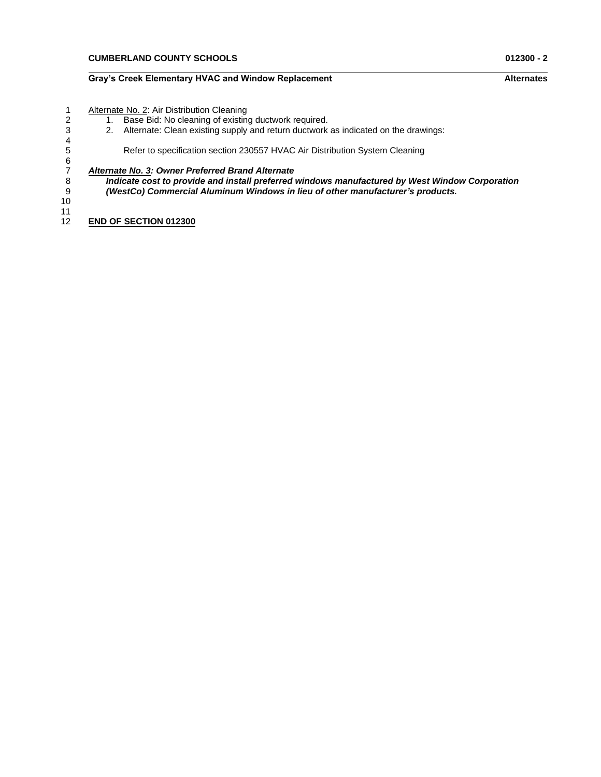### **Gray's Creek Elementary HVAC and Window Replacement Alternates**

- 1 Alternate No. 2: Air Distribution Cleaning<br>2 1. Base Bid: No cleaning of existing
- 2 1. Base Bid: No cleaning of existing ductwork required.
- 3 2. Alternate: Clean existing supply and return ductwork as indicated on the drawings:

Refer to specification section 230557 HVAC Air Distribution System Cleaning

# 7 *Alternate No. 3: Owner Preferred Brand Alternate*

8 *Indicate cost to provide and install preferred windows manufactured by West Window Corporation* 9 *(WestCo) Commercial Aluminum Windows in lieu of other manufacturer's products.*

10

 $\frac{4}{5}$ 

6

 $\frac{11}{12}$ **END OF SECTION 012300**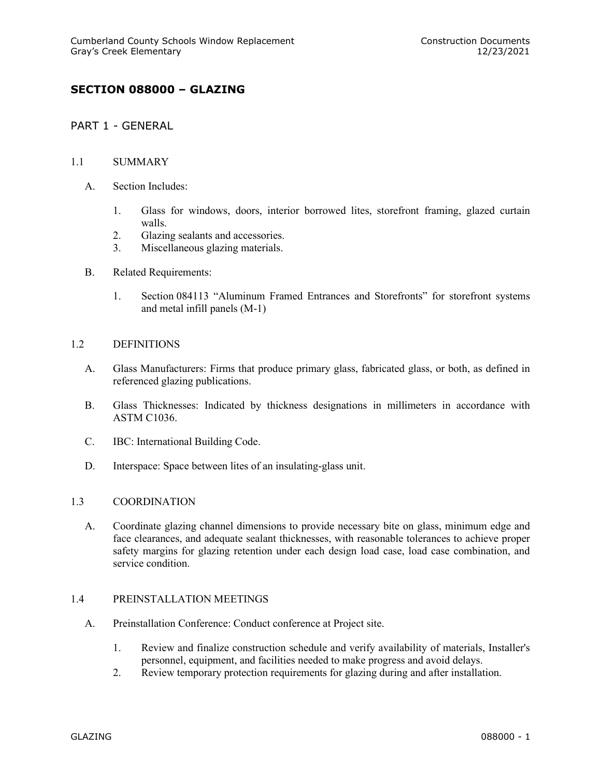# **SECTION 088000 – GLAZING**

# PART 1 - GENERAL

# 1.1 SUMMARY

- A. Section Includes:
	- 1. Glass for windows, doors, interior borrowed lites, storefront framing, glazed curtain walls.
	- 2. Glazing sealants and accessories.
	- 3. Miscellaneous glazing materials.
- B. Related Requirements:
	- 1. Section 084113 "Aluminum Framed Entrances and Storefronts" for storefront systems and metal infill panels (M-1)

# 1.2 DEFINITIONS

- A. Glass Manufacturers: Firms that produce primary glass, fabricated glass, or both, as defined in referenced glazing publications.
- B. Glass Thicknesses: Indicated by thickness designations in millimeters in accordance with ASTM C1036.
- C. IBC: International Building Code.
- D. Interspace: Space between lites of an insulating-glass unit.

# 1.3 COORDINATION

A. Coordinate glazing channel dimensions to provide necessary bite on glass, minimum edge and face clearances, and adequate sealant thicknesses, with reasonable tolerances to achieve proper safety margins for glazing retention under each design load case, load case combination, and service condition.

# 1.4 PREINSTALLATION MEETINGS

- A. Preinstallation Conference: Conduct conference at Project site.
	- 1. Review and finalize construction schedule and verify availability of materials, Installer's personnel, equipment, and facilities needed to make progress and avoid delays.
	- 2. Review temporary protection requirements for glazing during and after installation.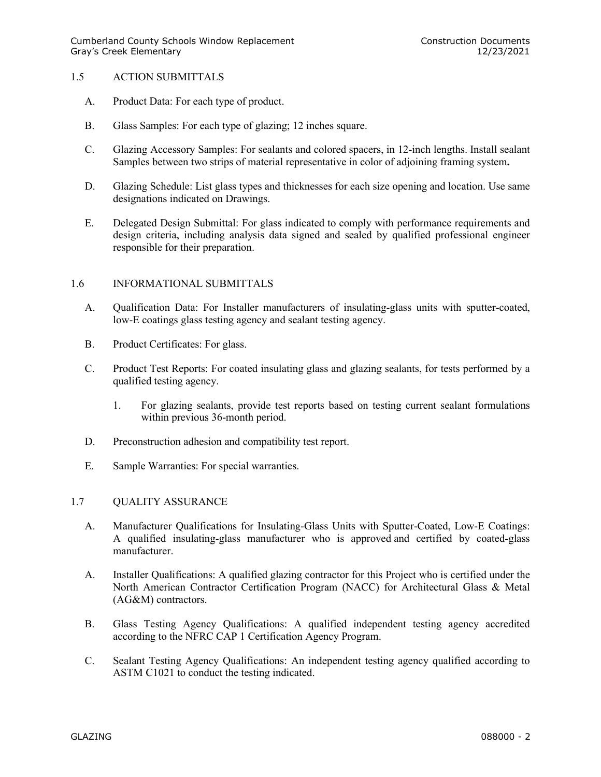# 1.5 ACTION SUBMITTALS

- A. Product Data: For each type of product.
- B. Glass Samples: For each type of glazing; 12 inches square.
- C. Glazing Accessory Samples: For sealants and colored spacers, in 12-inch lengths. Install sealant Samples between two strips of material representative in color of adjoining framing system**.**
- D. Glazing Schedule: List glass types and thicknesses for each size opening and location. Use same designations indicated on Drawings.
- E. Delegated Design Submittal: For glass indicated to comply with performance requirements and design criteria, including analysis data signed and sealed by qualified professional engineer responsible for their preparation.

# 1.6 INFORMATIONAL SUBMITTALS

- A. Qualification Data: For Installer manufacturers of insulating-glass units with sputter-coated, low-E coatings glass testing agency and sealant testing agency.
- B. Product Certificates: For glass.
- C. Product Test Reports: For coated insulating glass and glazing sealants, for tests performed by a qualified testing agency.
	- 1. For glazing sealants, provide test reports based on testing current sealant formulations within previous 36-month period.
- D. Preconstruction adhesion and compatibility test report.
- E. Sample Warranties: For special warranties.

# 1.7 QUALITY ASSURANCE

- A. Manufacturer Qualifications for Insulating-Glass Units with Sputter-Coated, Low-E Coatings: A qualified insulating-glass manufacturer who is approved and certified by coated-glass manufacturer.
- A. Installer Qualifications: A qualified glazing contractor for this Project who is certified under the North American Contractor Certification Program (NACC) for Architectural Glass & Metal (AG&M) contractors.
- B. Glass Testing Agency Qualifications: A qualified independent testing agency accredited according to the NFRC CAP 1 Certification Agency Program.
- C. Sealant Testing Agency Qualifications: An independent testing agency qualified according to ASTM C1021 to conduct the testing indicated.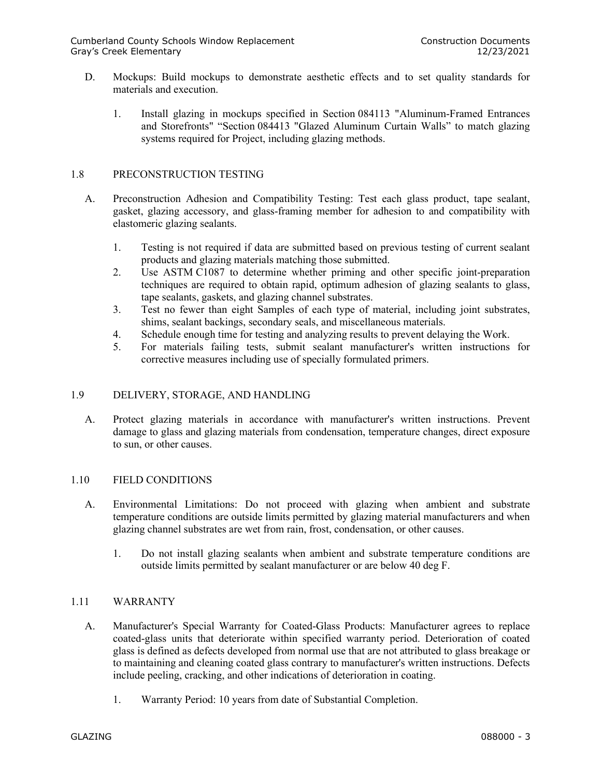- D. Mockups: Build mockups to demonstrate aesthetic effects and to set quality standards for materials and execution.
	- 1. Install glazing in mockups specified in Section 084113 "Aluminum-Framed Entrances and Storefronts" "Section 084413 "Glazed Aluminum Curtain Walls" to match glazing systems required for Project, including glazing methods.

# 1.8 PRECONSTRUCTION TESTING

- A. Preconstruction Adhesion and Compatibility Testing: Test each glass product, tape sealant, gasket, glazing accessory, and glass-framing member for adhesion to and compatibility with elastomeric glazing sealants.
	- 1. Testing is not required if data are submitted based on previous testing of current sealant products and glazing materials matching those submitted.
	- 2. Use ASTM C1087 to determine whether priming and other specific joint-preparation techniques are required to obtain rapid, optimum adhesion of glazing sealants to glass, tape sealants, gaskets, and glazing channel substrates.
	- 3. Test no fewer than eight Samples of each type of material, including joint substrates, shims, sealant backings, secondary seals, and miscellaneous materials.
	- 4. Schedule enough time for testing and analyzing results to prevent delaying the Work.
	- 5. For materials failing tests, submit sealant manufacturer's written instructions for corrective measures including use of specially formulated primers.

# 1.9 DELIVERY, STORAGE, AND HANDLING

A. Protect glazing materials in accordance with manufacturer's written instructions. Prevent damage to glass and glazing materials from condensation, temperature changes, direct exposure to sun, or other causes.

# 1.10 FIELD CONDITIONS

- A. Environmental Limitations: Do not proceed with glazing when ambient and substrate temperature conditions are outside limits permitted by glazing material manufacturers and when glazing channel substrates are wet from rain, frost, condensation, or other causes.
	- 1. Do not install glazing sealants when ambient and substrate temperature conditions are outside limits permitted by sealant manufacturer or are below 40 deg F.

# 1.11 WARRANTY

- A. Manufacturer's Special Warranty for Coated-Glass Products: Manufacturer agrees to replace coated-glass units that deteriorate within specified warranty period. Deterioration of coated glass is defined as defects developed from normal use that are not attributed to glass breakage or to maintaining and cleaning coated glass contrary to manufacturer's written instructions. Defects include peeling, cracking, and other indications of deterioration in coating.
	- 1. Warranty Period: 10 years from date of Substantial Completion.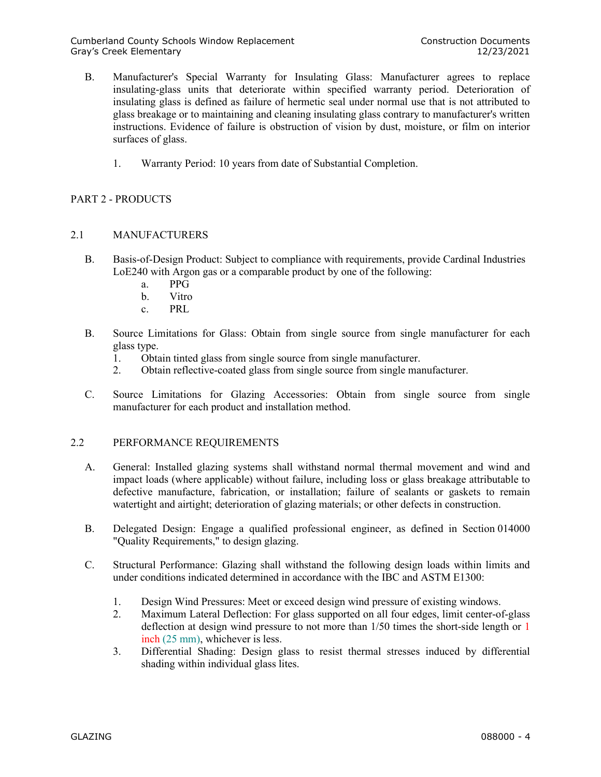- B. Manufacturer's Special Warranty for Insulating Glass: Manufacturer agrees to replace insulating-glass units that deteriorate within specified warranty period. Deterioration of insulating glass is defined as failure of hermetic seal under normal use that is not attributed to glass breakage or to maintaining and cleaning insulating glass contrary to manufacturer's written instructions. Evidence of failure is obstruction of vision by dust, moisture, or film on interior surfaces of glass.
	- 1. Warranty Period: 10 years from date of Substantial Completion.

# PART 2 - PRODUCTS

# 2.1 MANUFACTURERS

- B. Basis-of-Design Product: Subject to compliance with requirements, provide Cardinal Industries LoE240 with Argon gas or a comparable product by one of the following:
	- a. PPG
	- b. Vitro
	- c. PRL
- B. Source Limitations for Glass: Obtain from single source from single manufacturer for each glass type.
	- 1. Obtain tinted glass from single source from single manufacturer.
	- 2. Obtain reflective-coated glass from single source from single manufacturer.
- C. Source Limitations for Glazing Accessories: Obtain from single source from single manufacturer for each product and installation method.

# 2.2 PERFORMANCE REQUIREMENTS

- A. General: Installed glazing systems shall withstand normal thermal movement and wind and impact loads (where applicable) without failure, including loss or glass breakage attributable to defective manufacture, fabrication, or installation; failure of sealants or gaskets to remain watertight and airtight; deterioration of glazing materials; or other defects in construction.
- B. Delegated Design: Engage a qualified professional engineer, as defined in Section 014000 "Quality Requirements," to design glazing.
- C. Structural Performance: Glazing shall withstand the following design loads within limits and under conditions indicated determined in accordance with the IBC and ASTM E1300:
	- 1. Design Wind Pressures: Meet or exceed design wind pressure of existing windows.
	- 2. Maximum Lateral Deflection: For glass supported on all four edges, limit center-of-glass deflection at design wind pressure to not more than 1/50 times the short-side length or 1 inch (25 mm), whichever is less.
	- 3. Differential Shading: Design glass to resist thermal stresses induced by differential shading within individual glass lites.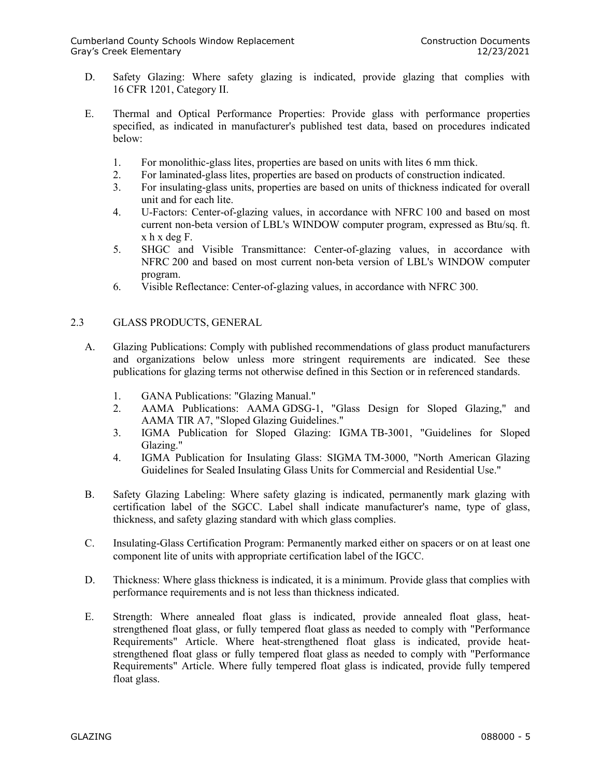- D. Safety Glazing: Where safety glazing is indicated, provide glazing that complies with 16 CFR 1201, Category II.
- E. Thermal and Optical Performance Properties: Provide glass with performance properties specified, as indicated in manufacturer's published test data, based on procedures indicated below:
	- 1. For monolithic-glass lites, properties are based on units with lites 6 mm thick.
	- 2. For laminated-glass lites, properties are based on products of construction indicated.
	- 3. For insulating-glass units, properties are based on units of thickness indicated for overall unit and for each lite.
	- 4. U-Factors: Center-of-glazing values, in accordance with NFRC 100 and based on most current non-beta version of LBL's WINDOW computer program, expressed as Btu/sq. ft. x h x deg F.
	- 5. SHGC and Visible Transmittance: Center-of-glazing values, in accordance with NFRC 200 and based on most current non-beta version of LBL's WINDOW computer program.
	- 6. Visible Reflectance: Center-of-glazing values, in accordance with NFRC 300.

# 2.3 GLASS PRODUCTS, GENERAL

- A. Glazing Publications: Comply with published recommendations of glass product manufacturers and organizations below unless more stringent requirements are indicated. See these publications for glazing terms not otherwise defined in this Section or in referenced standards.
	- 1. GANA Publications: "Glazing Manual."
	- 2. AAMA Publications: AAMA GDSG-1, "Glass Design for Sloped Glazing," and AAMA TIR A7, "Sloped Glazing Guidelines."
	- 3. IGMA Publication for Sloped Glazing: IGMA TB-3001, "Guidelines for Sloped Glazing."
	- 4. IGMA Publication for Insulating Glass: SIGMA TM-3000, "North American Glazing Guidelines for Sealed Insulating Glass Units for Commercial and Residential Use."
- B. Safety Glazing Labeling: Where safety glazing is indicated, permanently mark glazing with certification label of the SGCC. Label shall indicate manufacturer's name, type of glass, thickness, and safety glazing standard with which glass complies.
- C. Insulating-Glass Certification Program: Permanently marked either on spacers or on at least one component lite of units with appropriate certification label of the IGCC.
- D. Thickness: Where glass thickness is indicated, it is a minimum. Provide glass that complies with performance requirements and is not less than thickness indicated.
- E. Strength: Where annealed float glass is indicated, provide annealed float glass, heatstrengthened float glass, or fully tempered float glass as needed to comply with "Performance Requirements" Article. Where heat-strengthened float glass is indicated, provide heatstrengthened float glass or fully tempered float glass as needed to comply with "Performance Requirements" Article. Where fully tempered float glass is indicated, provide fully tempered float glass.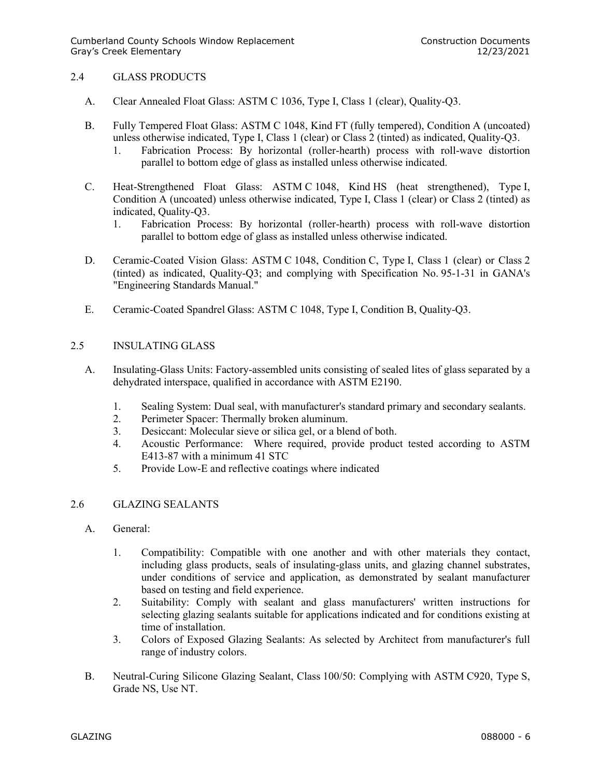# 2.4 GLASS PRODUCTS

- A. Clear Annealed Float Glass: ASTM C 1036, Type I, Class 1 (clear), Quality-Q3.
- B. Fully Tempered Float Glass: ASTM C 1048, Kind FT (fully tempered), Condition A (uncoated) unless otherwise indicated, Type I, Class 1 (clear) or Class 2 (tinted) as indicated, Quality-Q3.
	- 1. Fabrication Process: By horizontal (roller-hearth) process with roll-wave distortion parallel to bottom edge of glass as installed unless otherwise indicated.
- C. Heat-Strengthened Float Glass: ASTM C 1048, Kind HS (heat strengthened), Type I, Condition A (uncoated) unless otherwise indicated, Type I, Class 1 (clear) or Class 2 (tinted) as indicated, Quality-Q3.
	- 1. Fabrication Process: By horizontal (roller-hearth) process with roll-wave distortion parallel to bottom edge of glass as installed unless otherwise indicated.
- D. Ceramic-Coated Vision Glass: ASTM C 1048, Condition C, Type I, Class 1 (clear) or Class 2 (tinted) as indicated, Quality-Q3; and complying with Specification No. 95-1-31 in GANA's "Engineering Standards Manual."
- E. Ceramic-Coated Spandrel Glass: ASTM C 1048, Type I, Condition B, Quality-Q3.

# 2.5 INSULATING GLASS

- A. Insulating-Glass Units: Factory-assembled units consisting of sealed lites of glass separated by a dehydrated interspace, qualified in accordance with ASTM E2190.
	- 1. Sealing System: Dual seal, with manufacturer's standard primary and secondary sealants.
	- 2. Perimeter Spacer: Thermally broken aluminum.
	- 3. Desiccant: Molecular sieve or silica gel, or a blend of both.
	- 4. Acoustic Performance: Where required, provide product tested according to ASTM E413-87 with a minimum 41 STC
	- 5. Provide Low-E and reflective coatings where indicated

# 2.6 GLAZING SEALANTS

- A. General:
	- 1. Compatibility: Compatible with one another and with other materials they contact, including glass products, seals of insulating-glass units, and glazing channel substrates, under conditions of service and application, as demonstrated by sealant manufacturer based on testing and field experience.
	- 2. Suitability: Comply with sealant and glass manufacturers' written instructions for selecting glazing sealants suitable for applications indicated and for conditions existing at time of installation.
	- 3. Colors of Exposed Glazing Sealants: As selected by Architect from manufacturer's full range of industry colors.
- B. Neutral-Curing Silicone Glazing Sealant, Class 100/50: Complying with ASTM C920, Type S, Grade NS, Use NT.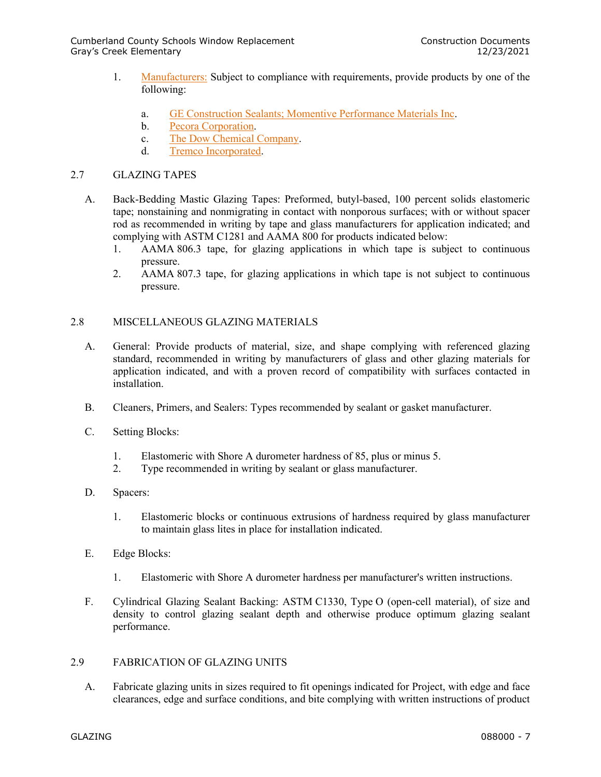- 1. [Manufacturers:](http://www.specagent.com/Lookup?ulid=174) Subject to compliance with requirements, provide products by one of the following:
	- a. [GE Construction Sealants;](http://www.specagent.com/Lookup?uid=123457195294) Momentive Performance Materials Inc.
	- b. [Pecora Corporation.](http://www.specagent.com/Lookup?uid=123457195296)
	- c. [The Dow Chemical Company.](http://www.specagent.com/Lookup?uid=123457195293)
	- d. [Tremco Incorporated.](http://www.specagent.com/Lookup?uid=123457195298)

# 2.7 GLAZING TAPES

- A. Back-Bedding Mastic Glazing Tapes: Preformed, butyl-based, 100 percent solids elastomeric tape; nonstaining and nonmigrating in contact with nonporous surfaces; with or without spacer rod as recommended in writing by tape and glass manufacturers for application indicated; and complying with ASTM C1281 and AAMA 800 for products indicated below:
	- 1. AAMA 806.3 tape, for glazing applications in which tape is subject to continuous pressure.
	- 2. AAMA 807.3 tape, for glazing applications in which tape is not subject to continuous pressure.

# 2.8 MISCELLANEOUS GLAZING MATERIALS

- A. General: Provide products of material, size, and shape complying with referenced glazing standard, recommended in writing by manufacturers of glass and other glazing materials for application indicated, and with a proven record of compatibility with surfaces contacted in installation.
- B. Cleaners, Primers, and Sealers: Types recommended by sealant or gasket manufacturer.
- C. Setting Blocks:
	- 1. Elastomeric with Shore A durometer hardness of 85, plus or minus 5.
	- 2. Type recommended in writing by sealant or glass manufacturer.
- D. Spacers:
	- 1. Elastomeric blocks or continuous extrusions of hardness required by glass manufacturer to maintain glass lites in place for installation indicated.
- E. Edge Blocks:
	- 1. Elastomeric with Shore A durometer hardness per manufacturer's written instructions.
- F. Cylindrical Glazing Sealant Backing: ASTM C1330, Type O (open-cell material), of size and density to control glazing sealant depth and otherwise produce optimum glazing sealant performance.

# 2.9 FABRICATION OF GLAZING UNITS

A. Fabricate glazing units in sizes required to fit openings indicated for Project, with edge and face clearances, edge and surface conditions, and bite complying with written instructions of product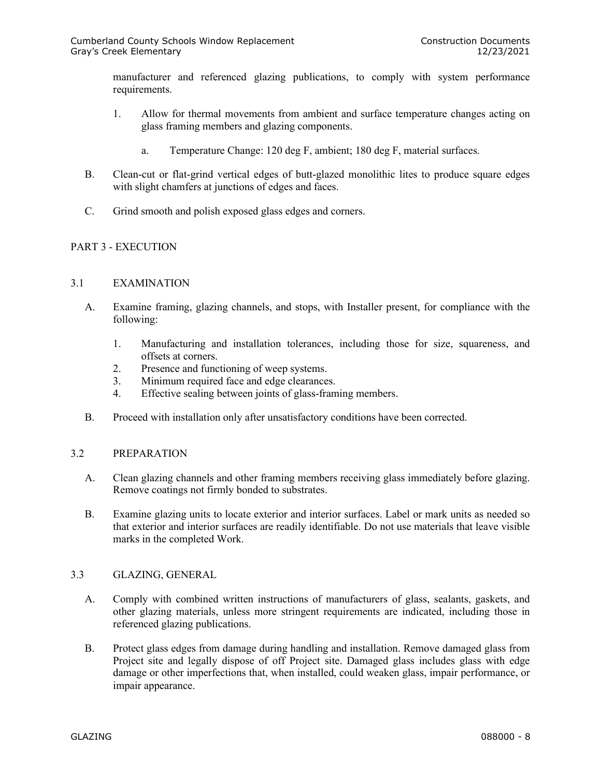manufacturer and referenced glazing publications, to comply with system performance requirements.

- 1. Allow for thermal movements from ambient and surface temperature changes acting on glass framing members and glazing components.
	- a. Temperature Change: 120 deg F, ambient; 180 deg F, material surfaces.
- B. Clean-cut or flat-grind vertical edges of butt-glazed monolithic lites to produce square edges with slight chamfers at junctions of edges and faces.
- C. Grind smooth and polish exposed glass edges and corners.

# PART 3 - EXECUTION

# 3.1 EXAMINATION

- A. Examine framing, glazing channels, and stops, with Installer present, for compliance with the following:
	- 1. Manufacturing and installation tolerances, including those for size, squareness, and offsets at corners.
	- 2. Presence and functioning of weep systems.
	- 3. Minimum required face and edge clearances.
	- 4. Effective sealing between joints of glass-framing members.
- B. Proceed with installation only after unsatisfactory conditions have been corrected.

# 3.2 PREPARATION

- A. Clean glazing channels and other framing members receiving glass immediately before glazing. Remove coatings not firmly bonded to substrates.
- B. Examine glazing units to locate exterior and interior surfaces. Label or mark units as needed so that exterior and interior surfaces are readily identifiable. Do not use materials that leave visible marks in the completed Work.

# 3.3 GLAZING, GENERAL

- A. Comply with combined written instructions of manufacturers of glass, sealants, gaskets, and other glazing materials, unless more stringent requirements are indicated, including those in referenced glazing publications.
- B. Protect glass edges from damage during handling and installation. Remove damaged glass from Project site and legally dispose of off Project site. Damaged glass includes glass with edge damage or other imperfections that, when installed, could weaken glass, impair performance, or impair appearance.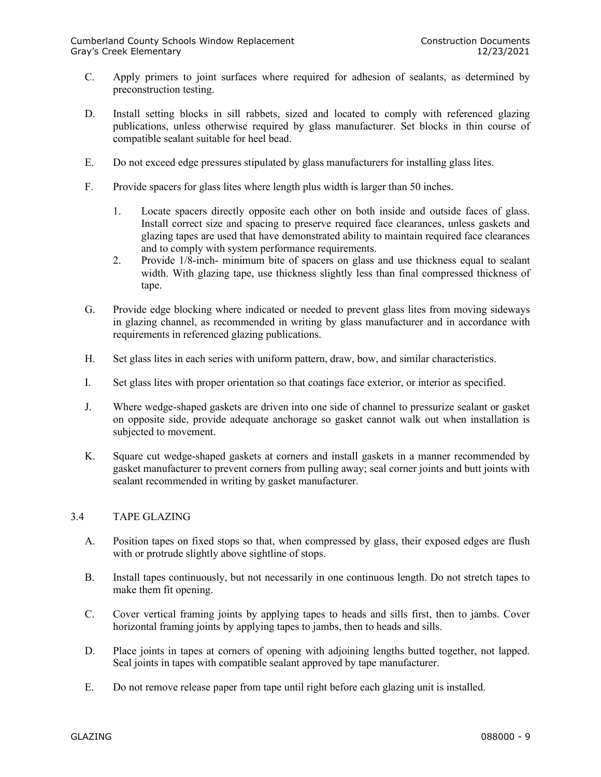- C. Apply primers to joint surfaces where required for adhesion of sealants, as determined by preconstruction testing.
- D. Install setting blocks in sill rabbets, sized and located to comply with referenced glazing publications, unless otherwise required by glass manufacturer. Set blocks in thin course of compatible sealant suitable for heel bead.
- E. Do not exceed edge pressures stipulated by glass manufacturers for installing glass lites.
- F. Provide spacers for glass lites where length plus width is larger than 50 inches.
	- 1. Locate spacers directly opposite each other on both inside and outside faces of glass. Install correct size and spacing to preserve required face clearances, unless gaskets and glazing tapes are used that have demonstrated ability to maintain required face clearances and to comply with system performance requirements.
	- 2. Provide 1/8-inch- minimum bite of spacers on glass and use thickness equal to sealant width. With glazing tape, use thickness slightly less than final compressed thickness of tape.
- G. Provide edge blocking where indicated or needed to prevent glass lites from moving sideways in glazing channel, as recommended in writing by glass manufacturer and in accordance with requirements in referenced glazing publications.
- H. Set glass lites in each series with uniform pattern, draw, bow, and similar characteristics.
- I. Set glass lites with proper orientation so that coatings face exterior, or interior as specified.
- J. Where wedge-shaped gaskets are driven into one side of channel to pressurize sealant or gasket on opposite side, provide adequate anchorage so gasket cannot walk out when installation is subjected to movement.
- K. Square cut wedge-shaped gaskets at corners and install gaskets in a manner recommended by gasket manufacturer to prevent corners from pulling away; seal corner joints and butt joints with sealant recommended in writing by gasket manufacturer.

# 3.4 TAPE GLAZING

- A. Position tapes on fixed stops so that, when compressed by glass, their exposed edges are flush with or protrude slightly above sightline of stops.
- B. Install tapes continuously, but not necessarily in one continuous length. Do not stretch tapes to make them fit opening.
- C. Cover vertical framing joints by applying tapes to heads and sills first, then to jambs. Cover horizontal framing joints by applying tapes to jambs, then to heads and sills.
- D. Place joints in tapes at corners of opening with adjoining lengths butted together, not lapped. Seal joints in tapes with compatible sealant approved by tape manufacturer.
- E. Do not remove release paper from tape until right before each glazing unit is installed.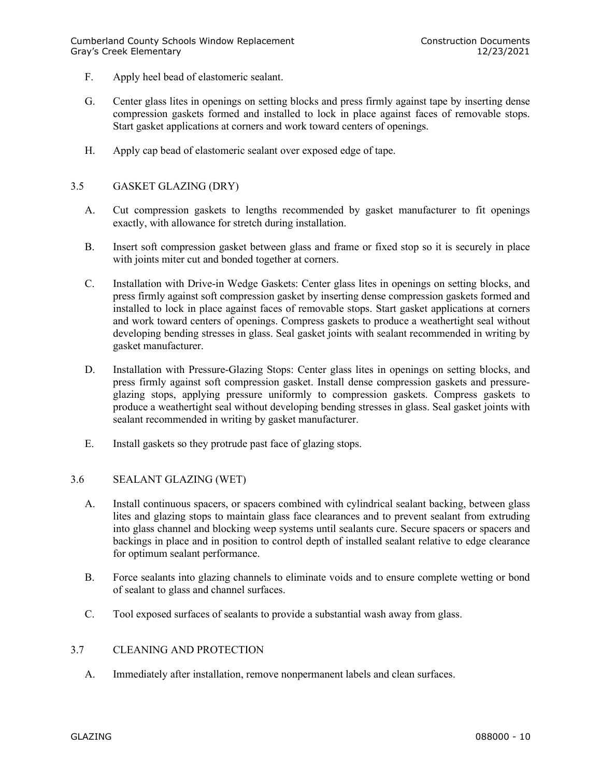- F. Apply heel bead of elastomeric sealant.
- G. Center glass lites in openings on setting blocks and press firmly against tape by inserting dense compression gaskets formed and installed to lock in place against faces of removable stops. Start gasket applications at corners and work toward centers of openings.
- H. Apply cap bead of elastomeric sealant over exposed edge of tape.

# 3.5 GASKET GLAZING (DRY)

- A. Cut compression gaskets to lengths recommended by gasket manufacturer to fit openings exactly, with allowance for stretch during installation.
- B. Insert soft compression gasket between glass and frame or fixed stop so it is securely in place with joints miter cut and bonded together at corners.
- C. Installation with Drive-in Wedge Gaskets: Center glass lites in openings on setting blocks, and press firmly against soft compression gasket by inserting dense compression gaskets formed and installed to lock in place against faces of removable stops. Start gasket applications at corners and work toward centers of openings. Compress gaskets to produce a weathertight seal without developing bending stresses in glass. Seal gasket joints with sealant recommended in writing by gasket manufacturer.
- D. Installation with Pressure-Glazing Stops: Center glass lites in openings on setting blocks, and press firmly against soft compression gasket. Install dense compression gaskets and pressureglazing stops, applying pressure uniformly to compression gaskets. Compress gaskets to produce a weathertight seal without developing bending stresses in glass. Seal gasket joints with sealant recommended in writing by gasket manufacturer.
- E. Install gaskets so they protrude past face of glazing stops.

# 3.6 SEALANT GLAZING (WET)

- A. Install continuous spacers, or spacers combined with cylindrical sealant backing, between glass lites and glazing stops to maintain glass face clearances and to prevent sealant from extruding into glass channel and blocking weep systems until sealants cure. Secure spacers or spacers and backings in place and in position to control depth of installed sealant relative to edge clearance for optimum sealant performance.
- B. Force sealants into glazing channels to eliminate voids and to ensure complete wetting or bond of sealant to glass and channel surfaces.
- C. Tool exposed surfaces of sealants to provide a substantial wash away from glass.

# 3.7 CLEANING AND PROTECTION

A. Immediately after installation, remove nonpermanent labels and clean surfaces.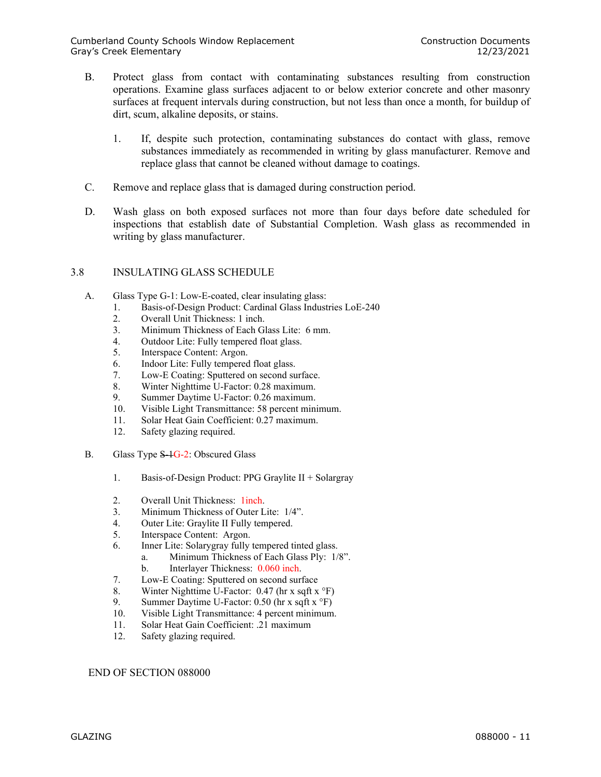- B. Protect glass from contact with contaminating substances resulting from construction operations. Examine glass surfaces adjacent to or below exterior concrete and other masonry surfaces at frequent intervals during construction, but not less than once a month, for buildup of dirt, scum, alkaline deposits, or stains.
	- 1. If, despite such protection, contaminating substances do contact with glass, remove substances immediately as recommended in writing by glass manufacturer. Remove and replace glass that cannot be cleaned without damage to coatings.
- C. Remove and replace glass that is damaged during construction period.
- D. Wash glass on both exposed surfaces not more than four days before date scheduled for inspections that establish date of Substantial Completion. Wash glass as recommended in writing by glass manufacturer.

# 3.8 INSULATING GLASS SCHEDULE

- A. Glass Type G-1: Low-E-coated, clear insulating glass:
	- 1. Basis-of-Design Product: Cardinal Glass Industries LoE-240
	- 2. Overall Unit Thickness: 1 inch.
	- 3. Minimum Thickness of Each Glass Lite: 6 mm.
	- 4. Outdoor Lite: Fully tempered float glass.
	- 5. Interspace Content: Argon.
	- 6. Indoor Lite: Fully tempered float glass.
	- 7. Low-E Coating: Sputtered on second surface.
	- 8. Winter Nighttime U-Factor: 0.28 maximum.
	- 9. Summer Daytime U-Factor: 0.26 maximum.
	- 10. Visible Light Transmittance: 58 percent minimum.
	- 11. Solar Heat Gain Coefficient: 0.27 maximum.
	- 12. Safety glazing required.
- B. Glass Type S-1G-2: Obscured Glass
	- 1. Basis-of-Design Product: PPG Graylite II + Solargray
	- 2. Overall Unit Thickness: 1inch.
	- 3. Minimum Thickness of Outer Lite: 1/4".
	- 4. Outer Lite: Graylite II Fully tempered.
	- 5. Interspace Content: Argon.
	- 6. Inner Lite: Solarygray fully tempered tinted glass.
		- a. Minimum Thickness of Each Glass Ply: 1/8". b. Interlayer Thickness: 0.060 inch.
	- 7. Low-E Coating: Sputtered on second surface
	- 8. Winter Nighttime U-Factor: 0.47 (hr x sqft x °F)
	- 9. Summer Daytime U-Factor: 0.50 (hr x sqft x °F)
	- 10. Visible Light Transmittance: 4 percent minimum.
	- 11. Solar Heat Gain Coefficient: .21 maximum
	- 12. Safety glazing required.

END OF SECTION 088000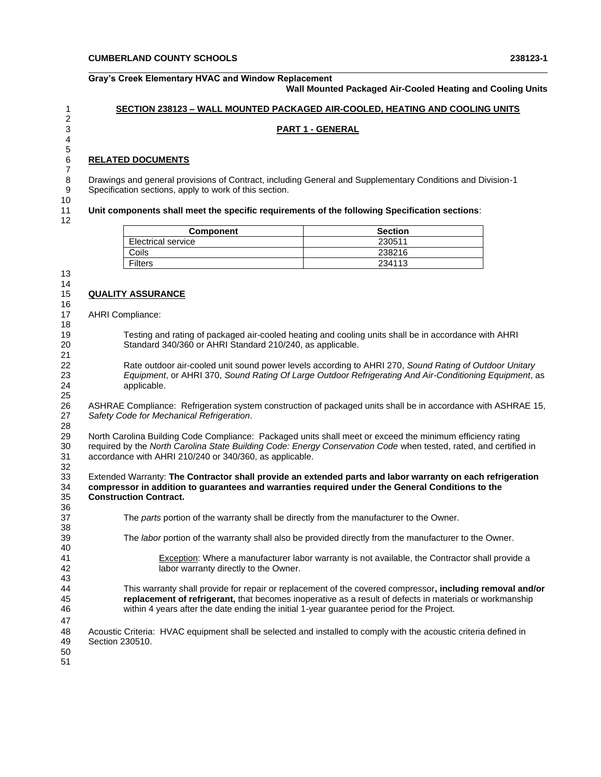#### **Gray's Creek Elementary HVAC and Window Replacement Wall Mounted Packaged Air-Cooled Heating and Cooling Units**

#### **SECTION 238123 – WALL MOUNTED PACKAGED AIR-COOLED, HEATING AND COOLING UNITS**

#### **PART 1 - GENERAL**

#### **RELATED DOCUMENTS**

 Drawings and general provisions of Contract, including General and Supplementary Conditions and Division-1 Specification sections, apply to work of this section.

#### **Unit components shall meet the specific requirements of the following Specification sections**:

| <b>Component</b>   | <b>Section</b> |
|--------------------|----------------|
| Electrical service | 230511         |
| Coils              | 238216         |
| <b>Filters</b>     | 234113         |

 

# **QUALITY ASSURANCE**

 AHRI Compliance: 

 Testing and rating of packaged air-cooled heating and cooling units shall be in accordance with AHRI Standard 340/360 or AHRI Standard 210/240, as applicable.

 Rate outdoor air-cooled unit sound power levels according to AHRI 270, *Sound Rating of Outdoor Unitary Equipment*, or AHRI 370, *Sound Rating Of Large Outdoor Refrigerating And Air-Conditioning Equipment*, as applicable.

 ASHRAE Compliance: Refrigeration system construction of packaged units shall be in accordance with ASHRAE 15, *Safety Code for Mechanical Refrigeration*.

 North Carolina Building Code Compliance: Packaged units shall meet or exceed the minimum efficiency rating required by the *North Carolina State Building Code: Energy Conservation Code* when tested, rated, and certified in accordance with AHRI 210/240 or 340/360, as applicable. 

 Extended Warranty: **The Contractor shall provide an extended parts and labor warranty on each refrigeration compressor in addition to guarantees and warranties required under the General Conditions to the Construction Contract.** 

 The *parts* portion of the warranty shall be directly from the manufacturer to the Owner. The *labor* portion of the warranty shall also be provided directly from the manufacturer to the Owner. Exception: Where a manufacturer labor warranty is not available, the Contractor shall provide a labor warranty directly to the Owner. This warranty shall provide for repair or replacement of the covered compressor**, including removal and/or replacement of refrigerant,** that becomes inoperative as a result of defects in materials or workmanship within 4 years after the date ending the initial 1-year guarantee period for the Project. Acoustic Criteria: HVAC equipment shall be selected and installed to comply with the acoustic criteria defined in Section 230510.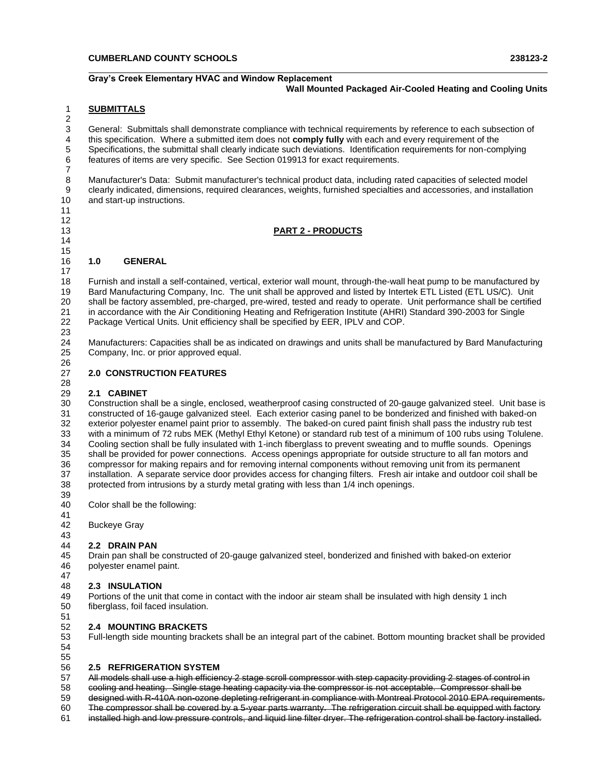#### **Gray's Creek Elementary HVAC and Window Replacement Wall Mounted Packaged Air-Cooled Heating and Cooling Units**

#### **SUBMITTALS**

 

 General: Submittals shall demonstrate compliance with technical requirements by reference to each subsection of this specification. Where a submitted item does not **comply fully** with each and every requirement of the Specifications, the submittal shall clearly indicate such deviations. Identification requirements for non-complying features of items are very specific. See Section 019913 for exact requirements. 

 Manufacturer's Data: Submit manufacturer's technical product data, including rated capacities of selected model clearly indicated, dimensions, required clearances, weights, furnished specialties and accessories, and installation and start-up instructions. 

#### **PART 2 - PRODUCTS**

# **1.0 GENERAL**

 Furnish and install a self-contained, vertical, exterior wall mount, through-the-wall heat pump to be manufactured by Bard Manufacturing Company, Inc. The unit shall be approved and listed by Intertek ETL Listed (ETL US/C). Unit shall be factory assembled, pre-charged, pre-wired, tested and ready to operate. Unit performance shall be certified in accordance with the Air Conditioning Heating and Refrigeration Institute (AHRI) Standard 390-2003 for Single Package Vertical Units. Unit efficiency shall be specified by EER, IPLV and COP. 

 Manufacturers: Capacities shall be as indicated on drawings and units shall be manufactured by Bard Manufacturing Company, Inc. or prior approved equal. 

# **2.0 CONSTRUCTION FEATURES**

#### **2.1 CABINET**

 Construction shall be a single, enclosed, weatherproof casing constructed of 20-gauge galvanized steel. Unit base is constructed of 16-gauge galvanized steel. Each exterior casing panel to be bonderized and finished with baked-on exterior polyester enamel paint prior to assembly. The baked-on cured paint finish shall pass the industry rub test 33 with a minimum of 72 rubs MEK (Methyl Ethyl Ketone) or standard rub test of a minimum of 100 rubs using Tolulene.<br>34 Cooling section shall be fully insulated with 1-inch fiberglass to prevent sweating and to muffle soun Cooling section shall be fully insulated with 1-inch fiberglass to prevent sweating and to muffle sounds. Openings shall be provided for power connections. Access openings appropriate for outside structure to all fan motors and 36 compressor for making repairs and for removing internal components without removing unit from its permanent<br>37 installation. A separate service door provides access for changing filters. Fresh air intake and outdoor coi 37 installation. A separate service door provides access for changing filters. Fresh air intake and outdoor coil shall be<br>38 protected from intrusions by a sturdy metal grating with less than 1/4 inch openings. protected from intrusions by a sturdy metal grating with less than 1/4 inch openings. 

- Color shall be the following:
- 41<br>42 **Buckeye Gray**

# 

# **2.2 DRAIN PAN**

 Drain pan shall be constructed of 20-gauge galvanized steel, bonderized and finished with baked-on exterior polyester enamel paint.

#### **2.3 INSULATION**

 Portions of the unit that come in contact with the indoor air steam shall be insulated with high density 1 inch fiberglass, foil faced insulation.

#### **2.4 MOUNTING BRACKETS**

Full-length side mounting brackets shall be an integral part of the cabinet. Bottom mounting bracket shall be provided

 

#### **2.5 REFRIGERATION SYSTEM**

 All models shall use a high efficiency 2 stage scroll compressor with step capacity providing 2 stages of control in cooling and heating. Single stage heating capacity via the compressor is not acceptable. Compressor shall be designed with R-410A non-ozone depleting refrigerant in compliance with Montreal Protocol 2010 EPA requirements. The compressor shall be covered by a 5-year parts warranty. The refrigeration circuit shall be equipped with factory

installed high and low pressure controls, and liquid line filter dryer. The refrigeration control shall be factory installed.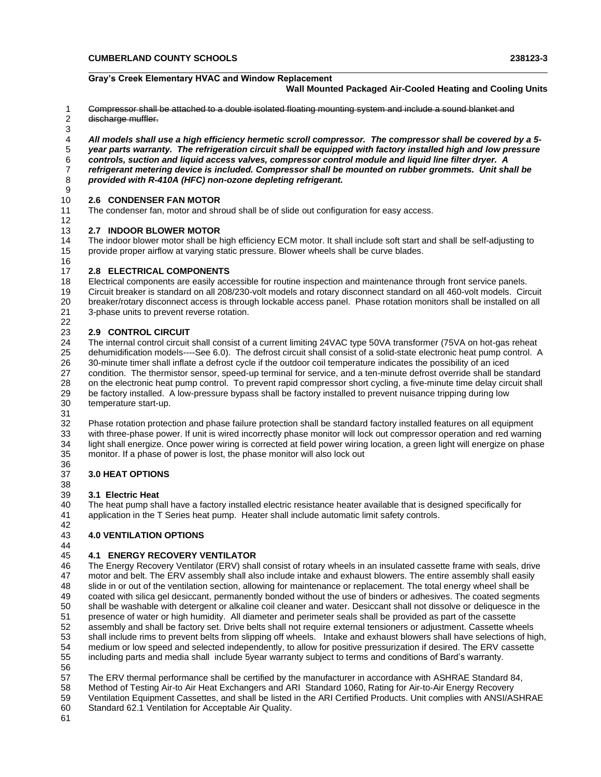# **Gray's Creek Elementary HVAC and Window Replacement**

**Wall Mounted Packaged Air-Cooled Heating and Cooling Units**

- Compressor shall be attached to a double isolated floating mounting system and include a sound blanket and
- discharge muffler.

 *All models shall use a high efficiency hermetic scroll compressor. The compressor shall be covered by a 5- year parts warranty. The refrigeration circuit shall be equipped with factory installed high and low pressure controls, suction and liquid access valves, compressor control module and liquid line filter dryer. A refrigerant metering device is included. Compressor shall be mounted on rubber grommets. Unit shall be provided with R-410A (HFC) non-ozone depleting refrigerant.*

#### **2.6 CONDENSER FAN MOTOR**

The condenser fan, motor and shroud shall be of slide out configuration for easy access.

#### **2.7 INDOOR BLOWER MOTOR**

 The indoor blower motor shall be high efficiency ECM motor. It shall include soft start and shall be self-adjusting to provide proper airflow at varying static pressure. Blower wheels shall be curve blades.

#### **2.8 ELECTRICAL COMPONENTS**

 Electrical components are easily accessible for routine inspection and maintenance through front service panels. Circuit breaker is standard on all 208/230-volt models and rotary disconnect standard on all 460-volt models. Circuit breaker/rotary disconnect access is through lockable access panel. Phase rotation monitors shall be installed on all 3-phase units to prevent reverse rotation.

#### **2.9 CONTROL CIRCUIT**

 The internal control circuit shall consist of a current limiting 24VAC type 50VA transformer (75VA on hot-gas reheat dehumidification models----See 6.0). The defrost circuit shall consist of a solid-state electronic heat pump control. A 30-minute timer shall inflate a defrost cycle if the outdoor coil temperature indicates the possibility of an iced condition. The thermistor sensor, speed-up terminal for service, and a ten-minute defrost override shall be standard on the electronic heat pump control. To prevent rapid compressor short cycling, a five-minute time delay circuit shall be factory installed. A low-pressure bypass shall be factory installed to prevent nuisance tripping during low temperature start-up.

31<br>32

Phase rotation protection and phase failure protection shall be standard factory installed features on all equipment with three-phase power. If unit is wired incorrectly phase monitor will lock out compressor operation and red warning light shall energize. Once power wiring is corrected at field power wiring location, a green light will energize on phase monitor. If a phase of power is lost, the phase monitor will also lock out

#### 36<br>37 **3.0 HEAT OPTIONS**

#### **3.1 Electric Heat**

 The heat pump shall have a factory installed electric resistance heater available that is designed specifically for application in the T Series heat pump. Heater shall include automatic limit safety controls.

#### **4.0 VENTILATION OPTIONS**

# 44<br>45

 **4.1 ENERGY RECOVERY VENTILATOR** The Energy Recovery Ventilator (ERV) shall consist of rotary wheels in an insulated cassette frame with seals, drive motor and belt. The ERV assembly shall also include intake and exhaust blowers. The entire assembly shall easily slide in or out of the ventilation section, allowing for maintenance or replacement. The total energy wheel shall be coated with silica gel desiccant, permanently bonded without the use of binders or adhesives. The coated segments shall be washable with detergent or alkaline coil cleaner and water. Desiccant shall not dissolve or deliquesce in the presence of water or high humidity. All diameter and perimeter seals shall be provided as part of the cassette assembly and shall be factory set. Drive belts shall not require external tensioners or adjustment. Cassette wheels shall include rims to prevent belts from slipping off wheels. Intake and exhaust blowers shall have selections of high, medium or low speed and selected independently, to allow for positive pressurization if desired. The ERV cassette including parts and media shall include 5year warranty subject to terms and conditions of Bard's warranty.

 The ERV thermal performance shall be certified by the manufacturer in accordance with ASHRAE Standard 84, Method of Testing Air-to Air Heat Exchangers and ARI Standard 1060, Rating for Air-to-Air Energy Recovery Ventilation Equipment Cassettes, and shall be listed in the ARI Certified Products. Unit complies with ANSI/ASHRAE

Standard 62.1 Ventilation for Acceptable Air Quality.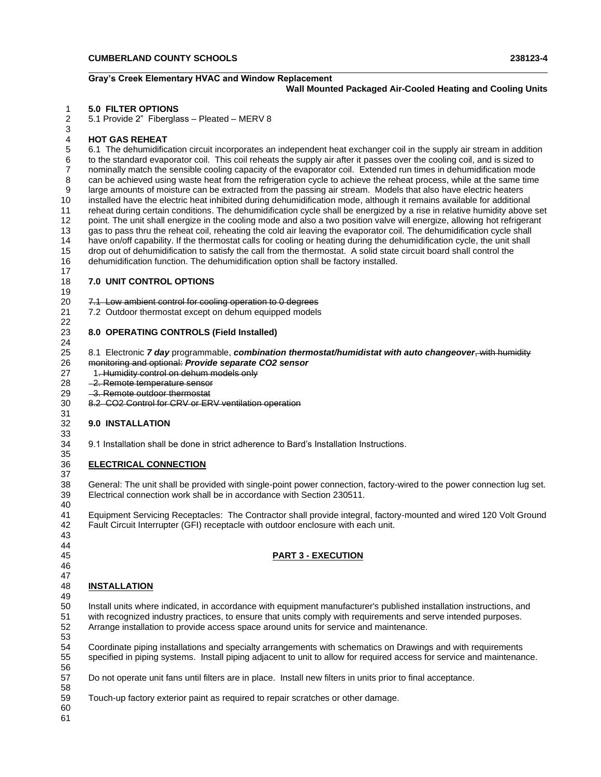#### **Gray's Creek Elementary HVAC and Window Replacement Wall Mounted Packaged Air-Cooled Heating and Cooling Units**

#### **5.0 FILTER OPTIONS**

5.1 Provide 2" Fiberglass – Pleated – MERV 8

#### **HOT GAS REHEAT**

 6.1 The dehumidification circuit incorporates an independent heat exchanger coil in the supply air stream in addition to the standard evaporator coil. This coil reheats the supply air after it passes over the cooling coil, and is sized to nominally match the sensible cooling capacity of the evaporator coil. Extended run times in dehumidification mode can be achieved using waste heat from the refrigeration cycle to achieve the reheat process, while at the same time large amounts of moisture can be extracted from the passing air stream. Models that also have electric heaters installed have the electric heat inhibited during dehumidification mode, although it remains available for additional reheat during certain conditions. The dehumidification cycle shall be energized by a rise in relative humidity above set point. The unit shall energize in the cooling mode and also a two position valve will energize, allowing hot refrigerant gas to pass thru the reheat coil, reheating the cold air leaving the evaporator coil. The dehumidification cycle shall have on/off capability. If the thermostat calls for cooling or heating during the dehumidification cycle, the unit shall drop out of dehumidification to satisfy the call from the thermostat. A solid state circuit board shall control the dehumidification function. The dehumidification option shall be factory installed.

#### **7.0 UNIT CONTROL OPTIONS**

# 7.1 Low ambient control for cooling operation to 0 degrees

7.2 Outdoor thermostat except on dehum equipped models

#### **8.0 OPERATING CONTROLS (Field Installed)**

 8.1 Electronic *7 day* programmable, *combination thermostat/humidistat with auto changeover*, with humidity monitoring and optional: *Provide separate CO2 sensor*

- 27 1. Humidity control on dehum models only
- 28 2. Remote temperature sensor
- 29 3. Remote outdoor thermostat
- 8.2 CO2 Control for CRV or ERV ventilation operation

#### **9.0 INSTALLATION**

9.1 Installation shall be done in strict adherence to Bard's Installation Instructions.

# **ELECTRICAL CONNECTION**

 General: The unit shall be provided with single-point power connection, factory-wired to the power connection lug set. Electrical connection work shall be in accordance with Section 230511.

 Equipment Servicing Receptacles: The Contractor shall provide integral, factory-mounted and wired 120 Volt Ground Fault Circuit Interrupter (GFI) receptacle with outdoor enclosure with each unit.

**PART 3 - EXECUTION**

# 

- 44<br>45
- 
- 
- **INSTALLATION**
- 

 Install units where indicated, in accordance with equipment manufacturer's published installation instructions, and with recognized industry practices, to ensure that units comply with requirements and serve intended purposes. Arrange installation to provide access space around units for service and maintenance.

 Coordinate piping installations and specialty arrangements with schematics on Drawings and with requirements specified in piping systems. Install piping adjacent to unit to allow for required access for service and maintenance.

Do not operate unit fans until filters are in place. Install new filters in units prior to final acceptance.

Touch-up factory exterior paint as required to repair scratches or other damage.